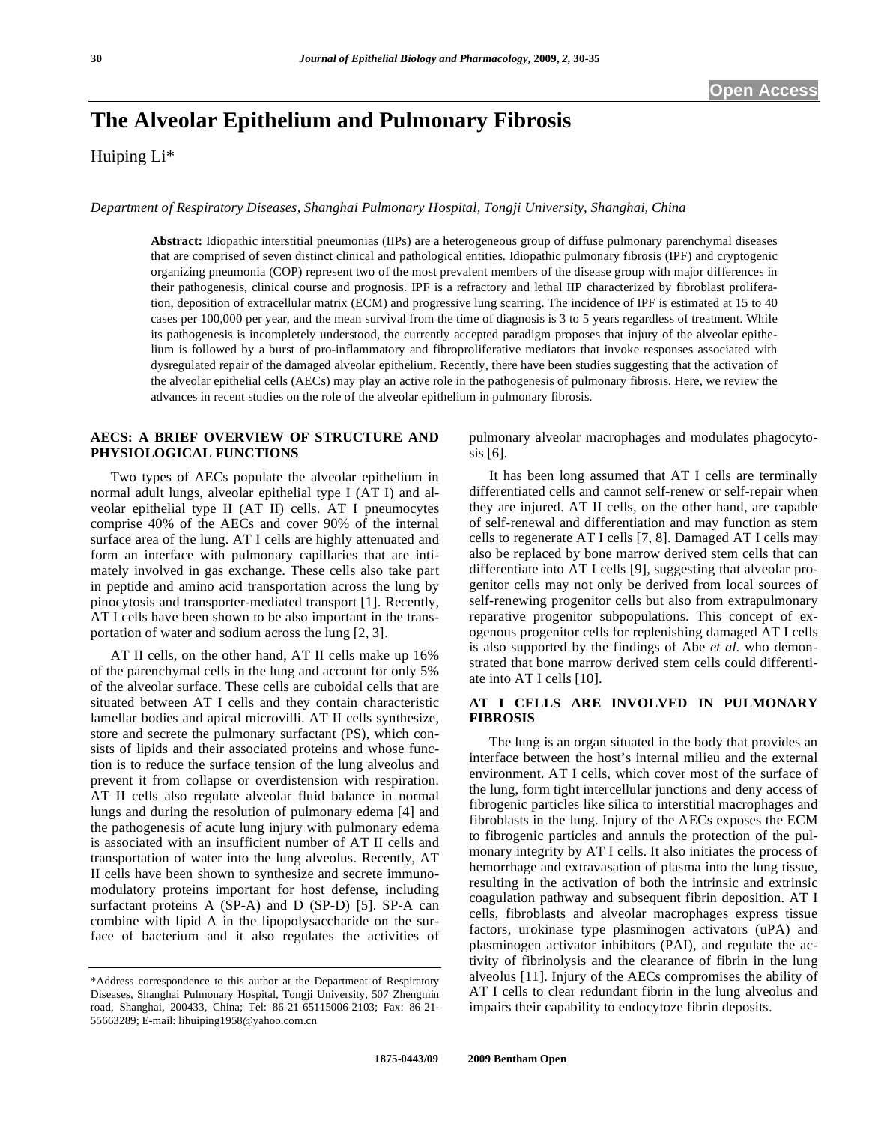# **The Alveolar Epithelium and Pulmonary Fibrosis**

Huiping Li\*

*Department of Respiratory Diseases, Shanghai Pulmonary Hospital, Tongji University, Shanghai, China* 

**Abstract:** Idiopathic interstitial pneumonias (IIPs) are a heterogeneous group of diffuse pulmonary parenchymal diseases that are comprised of seven distinct clinical and pathological entities. Idiopathic pulmonary fibrosis (IPF) and cryptogenic organizing pneumonia (COP) represent two of the most prevalent members of the disease group with major differences in their pathogenesis, clinical course and prognosis. IPF is a refractory and lethal IIP characterized by fibroblast proliferation, deposition of extracellular matrix (ECM) and progressive lung scarring. The incidence of IPF is estimated at 15 to 40 cases per 100,000 per year, and the mean survival from the time of diagnosis is 3 to 5 years regardless of treatment. While its pathogenesis is incompletely understood, the currently accepted paradigm proposes that injury of the alveolar epithelium is followed by a burst of pro-inflammatory and fibroproliferative mediators that invoke responses associated with dysregulated repair of the damaged alveolar epithelium. Recently, there have been studies suggesting that the activation of the alveolar epithelial cells (AECs) may play an active role in the pathogenesis of pulmonary fibrosis. Here, we review the advances in recent studies on the role of the alveolar epithelium in pulmonary fibrosis.

#### **AECS: A BRIEF OVERVIEW OF STRUCTURE AND PHYSIOLOGICAL FUNCTIONS**

 Two types of AECs populate the alveolar epithelium in normal adult lungs, alveolar epithelial type I (AT I) and alveolar epithelial type II (AT II) cells. AT I pneumocytes comprise 40% of the AECs and cover 90% of the internal surface area of the lung. AT I cells are highly attenuated and form an interface with pulmonary capillaries that are intimately involved in gas exchange. These cells also take part in peptide and amino acid transportation across the lung by pinocytosis and transporter-mediated transport [1]. Recently, AT I cells have been shown to be also important in the transportation of water and sodium across the lung [2, 3].

 AT II cells, on the other hand, AT II cells make up 16% of the parenchymal cells in the lung and account for only 5% of the alveolar surface. These cells are cuboidal cells that are situated between AT I cells and they contain characteristic lamellar bodies and apical microvilli. AT II cells synthesize, store and secrete the pulmonary surfactant (PS), which consists of lipids and their associated proteins and whose function is to reduce the surface tension of the lung alveolus and prevent it from collapse or overdistension with respiration. AT II cells also regulate alveolar fluid balance in normal lungs and during the resolution of pulmonary edema [4] and the pathogenesis of acute lung injury with pulmonary edema is associated with an insufficient number of AT II cells and transportation of water into the lung alveolus. Recently, AT II cells have been shown to synthesize and secrete immunomodulatory proteins important for host defense, including surfactant proteins A (SP-A) and D (SP-D) [5]. SP-A can combine with lipid A in the lipopolysaccharide on the surface of bacterium and it also regulates the activities of pulmonary alveolar macrophages and modulates phagocytosis [6].

 It has been long assumed that AT I cells are terminally differentiated cells and cannot self-renew or self-repair when they are injured. AT II cells, on the other hand, are capable of self-renewal and differentiation and may function as stem cells to regenerate AT I cells [7, 8]. Damaged AT I cells may also be replaced by bone marrow derived stem cells that can differentiate into AT I cells [9], suggesting that alveolar progenitor cells may not only be derived from local sources of self-renewing progenitor cells but also from extrapulmonary reparative progenitor subpopulations. This concept of exogenous progenitor cells for replenishing damaged AT I cells is also supported by the findings of Abe *et al.* who demonstrated that bone marrow derived stem cells could differentiate into AT I cells [10].

# **AT I CELLS ARE INVOLVED IN PULMONARY FIBROSIS**

 The lung is an organ situated in the body that provides an interface between the host's internal milieu and the external environment. AT I cells, which cover most of the surface of the lung, form tight intercellular junctions and deny access of fibrogenic particles like silica to interstitial macrophages and fibroblasts in the lung. Injury of the AECs exposes the ECM to fibrogenic particles and annuls the protection of the pulmonary integrity by AT I cells. It also initiates the process of hemorrhage and extravasation of plasma into the lung tissue, resulting in the activation of both the intrinsic and extrinsic coagulation pathway and subsequent fibrin deposition. AT I cells, fibroblasts and alveolar macrophages express tissue factors, urokinase type plasminogen activators (uPA) and plasminogen activator inhibitors (PAI), and regulate the activity of fibrinolysis and the clearance of fibrin in the lung alveolus [11]. Injury of the AECs compromises the ability of AT I cells to clear redundant fibrin in the lung alveolus and impairs their capability to endocytoze fibrin deposits.

<sup>\*</sup>Address correspondence to this author at the Department of Respiratory Diseases, Shanghai Pulmonary Hospital, Tongji University, 507 Zhengmin road, Shanghai, 200433, China; Tel: 86-21-65115006-2103; Fax: 86-21- 55663289; E-mail: lihuiping1958@yahoo.com.cn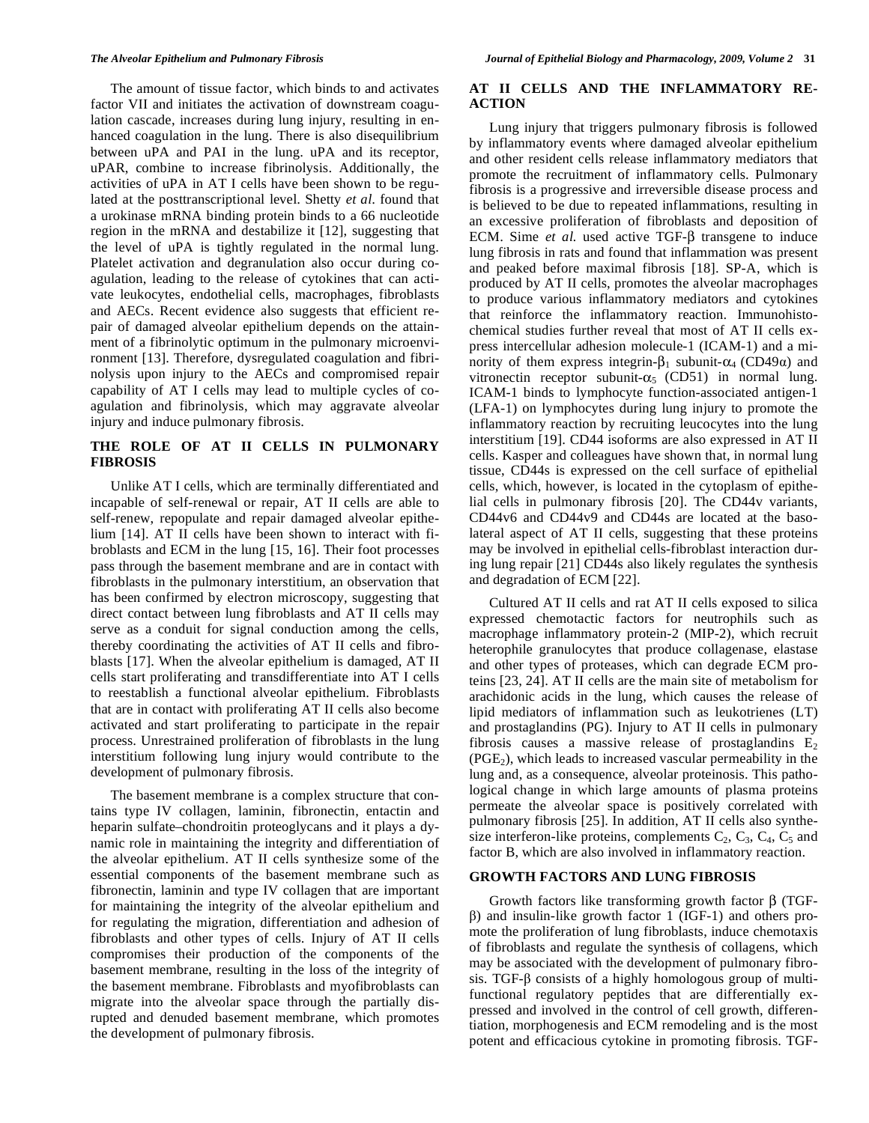The amount of tissue factor, which binds to and activates factor VII and initiates the activation of downstream coagulation cascade, increases during lung injury, resulting in enhanced coagulation in the lung. There is also disequilibrium between uPA and PAI in the lung. uPA and its receptor, uPAR, combine to increase fibrinolysis. Additionally, the activities of uPA in AT I cells have been shown to be regulated at the posttranscriptional level. Shetty *et al*. found that a urokinase mRNA binding protein binds to a 66 nucleotide region in the mRNA and destabilize it [12], suggesting that the level of uPA is tightly regulated in the normal lung. Platelet activation and degranulation also occur during coagulation, leading to the release of cytokines that can activate leukocytes, endothelial cells, macrophages, fibroblasts and AECs. Recent evidence also suggests that efficient repair of damaged alveolar epithelium depends on the attainment of a fibrinolytic optimum in the pulmonary microenvironment [13]. Therefore, dysregulated coagulation and fibrinolysis upon injury to the AECs and compromised repair capability of AT I cells may lead to multiple cycles of coagulation and fibrinolysis, which may aggravate alveolar injury and induce pulmonary fibrosis.

## **THE ROLE OF AT II CELLS IN PULMONARY FIBROSIS**

 Unlike AT I cells, which are terminally differentiated and incapable of self-renewal or repair, AT II cells are able to self-renew, repopulate and repair damaged alveolar epithelium [14]. AT II cells have been shown to interact with fibroblasts and ECM in the lung [15, 16]. Their foot processes pass through the basement membrane and are in contact with fibroblasts in the pulmonary interstitium, an observation that has been confirmed by electron microscopy, suggesting that direct contact between lung fibroblasts and AT II cells may serve as a conduit for signal conduction among the cells, thereby coordinating the activities of AT II cells and fibroblasts [17]. When the alveolar epithelium is damaged, AT II cells start proliferating and transdifferentiate into AT I cells to reestablish a functional alveolar epithelium. Fibroblasts that are in contact with proliferating AT II cells also become activated and start proliferating to participate in the repair process. Unrestrained proliferation of fibroblasts in the lung interstitium following lung injury would contribute to the development of pulmonary fibrosis.

 The basement membrane is a complex structure that contains type IV collagen, laminin, fibronectin, entactin and heparin sulfate–chondroitin proteoglycans and it plays a dynamic role in maintaining the integrity and differentiation of the alveolar epithelium. AT II cells synthesize some of the essential components of the basement membrane such as fibronectin, laminin and type IV collagen that are important for maintaining the integrity of the alveolar epithelium and for regulating the migration, differentiation and adhesion of fibroblasts and other types of cells. Injury of AT II cells compromises their production of the components of the basement membrane, resulting in the loss of the integrity of the basement membrane. Fibroblasts and myofibroblasts can migrate into the alveolar space through the partially disrupted and denuded basement membrane, which promotes the development of pulmonary fibrosis.

### **AT II CELLS AND THE INFLAMMATORY RE-ACTION**

 Lung injury that triggers pulmonary fibrosis is followed by inflammatory events where damaged alveolar epithelium and other resident cells release inflammatory mediators that promote the recruitment of inflammatory cells. Pulmonary fibrosis is a progressive and irreversible disease process and is believed to be due to repeated inflammations, resulting in an excessive proliferation of fibroblasts and deposition of ECM. Sime *et al.* used active TGF- $\beta$  transgene to induce lung fibrosis in rats and found that inflammation was present and peaked before maximal fibrosis [18]. SP-A, which is produced by AT II cells, promotes the alveolar macrophages to produce various inflammatory mediators and cytokines that reinforce the inflammatory reaction. Immunohistochemical studies further reveal that most of AT II cells express intercellular adhesion molecule-1 (ICAM-1) and a minority of them express integrin- $\beta_1$  subunit- $\alpha_4$  (CD49 $\alpha$ ) and vitronectin receptor subunit- $\alpha_5$  (CD51) in normal lung. ICAM-1 binds to lymphocyte function-associated antigen-1 (LFA-1) on lymphocytes during lung injury to promote the inflammatory reaction by recruiting leucocytes into the lung interstitium [19]. CD44 isoforms are also expressed in AT II cells. Kasper and colleagues have shown that, in normal lung tissue, CD44s is expressed on the cell surface of epithelial cells, which, however, is located in the cytoplasm of epithelial cells in pulmonary fibrosis [20]. The CD44v variants, CD44v6 and CD44v9 and CD44s are located at the basolateral aspect of AT II cells, suggesting that these proteins may be involved in epithelial cells-fibroblast interaction during lung repair [21] CD44s also likely regulates the synthesis and degradation of ECM [22].

 Cultured AT II cells and rat AT II cells exposed to silica expressed chemotactic factors for neutrophils such as macrophage inflammatory protein-2 (MIP-2), which recruit heterophile granulocytes that produce collagenase, elastase and other types of proteases, which can degrade ECM proteins [23, 24]. AT II cells are the main site of metabolism for arachidonic acids in the lung, which causes the release of lipid mediators of inflammation such as leukotrienes (LT) and prostaglandins (PG). Injury to AT II cells in pulmonary fibrosis causes a massive release of prostaglandins  $E_2$  $(PGE<sub>2</sub>)$ , which leads to increased vascular permeability in the lung and, as a consequence, alveolar proteinosis. This pathological change in which large amounts of plasma proteins permeate the alveolar space is positively correlated with pulmonary fibrosis [25]. In addition, AT II cells also synthesize interferon-like proteins, complements  $C_2$ ,  $C_3$ ,  $C_4$ ,  $C_5$  and factor B, which are also involved in inflammatory reaction.

#### **GROWTH FACTORS AND LUNG FIBROSIS**

Growth factors like transforming growth factor  $\beta$  (TGF--) and insulin-like growth factor 1 (IGF-1) and others promote the proliferation of lung fibroblasts, induce chemotaxis of fibroblasts and regulate the synthesis of collagens, which may be associated with the development of pulmonary fibro $sis. TGF- $\beta$  consists of a highly homologous group of multi$ functional regulatory peptides that are differentially expressed and involved in the control of cell growth, differentiation, morphogenesis and ECM remodeling and is the most potent and efficacious cytokine in promoting fibrosis. TGF-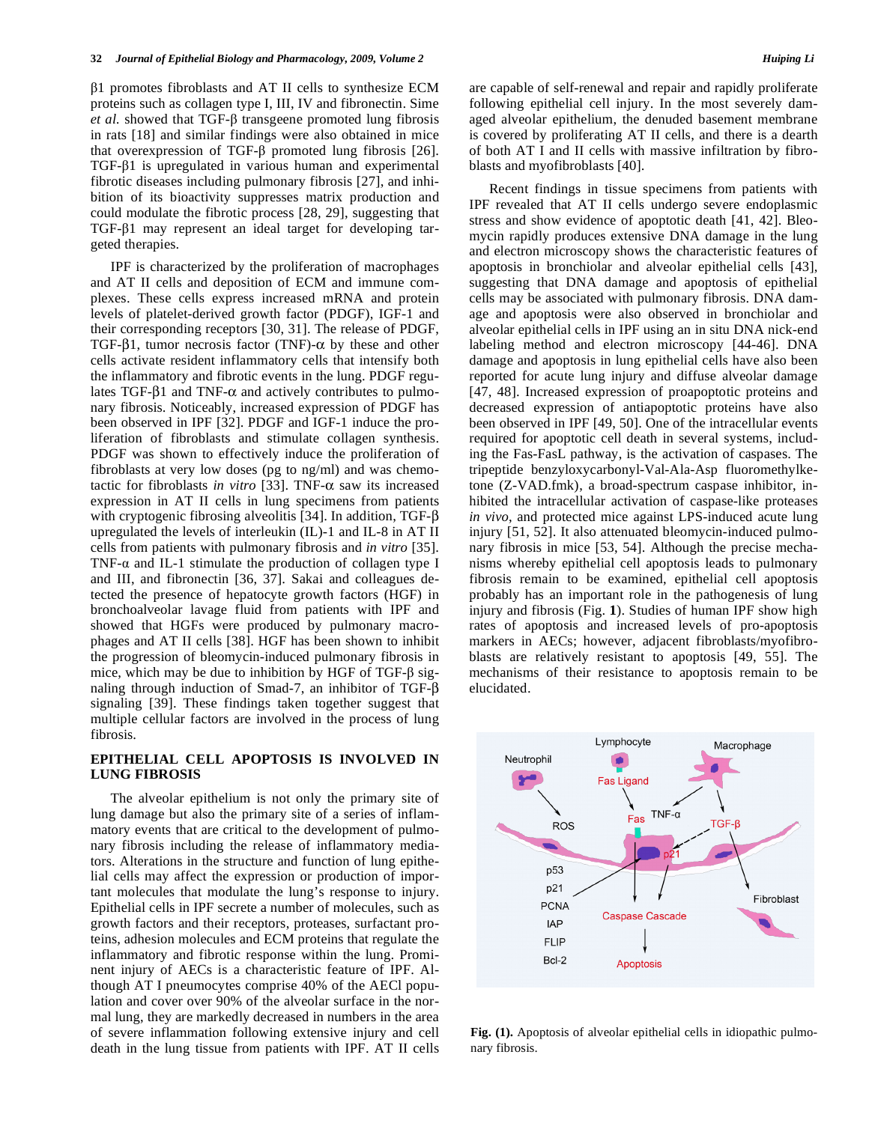-1 promotes fibroblasts and AT II cells to synthesize ECM proteins such as collagen type I, III, IV and fibronectin. Sime  $et$  al. showed that TGF- $\beta$  transgeene promoted lung fibrosis in rats [18] and similar findings were also obtained in mice that overexpression of TGF- $\beta$  promoted lung fibrosis [26].  $TGF- $\beta$ 1 is upregulated in various human and experimental$ fibrotic diseases including pulmonary fibrosis [27], and inhibition of its bioactivity suppresses matrix production and could modulate the fibrotic process [28, 29], suggesting that  $TGF- $\beta$ 1 may represent an ideal target for developing tar$ geted therapies.

 IPF is characterized by the proliferation of macrophages and AT II cells and deposition of ECM and immune complexes. These cells express increased mRNA and protein levels of platelet-derived growth factor (PDGF), IGF-1 and their corresponding receptors [30, 31]. The release of PDGF, TGF- $\beta$ 1, tumor necrosis factor (TNF)- $\alpha$  by these and other cells activate resident inflammatory cells that intensify both the inflammatory and fibrotic events in the lung. PDGF regulates TGF- $\beta$ 1 and TNF- $\alpha$  and actively contributes to pulmonary fibrosis. Noticeably, increased expression of PDGF has been observed in IPF [32]. PDGF and IGF-1 induce the proliferation of fibroblasts and stimulate collagen synthesis. PDGF was shown to effectively induce the proliferation of fibroblasts at very low doses (pg to ng/ml) and was chemotactic for fibroblasts *in vitro* [33]. TNF- $\alpha$  saw its increased expression in AT II cells in lung specimens from patients with cryptogenic fibrosing alveolitis [34]. In addition, TGF- $\beta$ upregulated the levels of interleukin (IL)-1 and IL-8 in AT II cells from patients with pulmonary fibrosis and *in vitro* [35]. TNF- $\alpha$  and IL-1 stimulate the production of collagen type I and III, and fibronectin [36, 37]. Sakai and colleagues detected the presence of hepatocyte growth factors (HGF) in bronchoalveolar lavage fluid from patients with IPF and showed that HGFs were produced by pulmonary macrophages and AT II cells [38]. HGF has been shown to inhibit the progression of bleomycin-induced pulmonary fibrosis in mice, which may be due to inhibition by HGF of TGF- $\beta$  signaling through induction of Smad-7, an inhibitor of TGF- $\beta$ signaling [39]. These findings taken together suggest that multiple cellular factors are involved in the process of lung fibrosis.

#### **EPITHELIAL CELL APOPTOSIS IS INVOLVED IN LUNG FIBROSIS**

 The alveolar epithelium is not only the primary site of lung damage but also the primary site of a series of inflammatory events that are critical to the development of pulmonary fibrosis including the release of inflammatory mediators. Alterations in the structure and function of lung epithelial cells may affect the expression or production of important molecules that modulate the lung's response to injury. Epithelial cells in IPF secrete a number of molecules, such as growth factors and their receptors, proteases, surfactant proteins, adhesion molecules and ECM proteins that regulate the inflammatory and fibrotic response within the lung. Prominent injury of AECs is a characteristic feature of IPF. Although AT I pneumocytes comprise 40% of the AECl population and cover over 90% of the alveolar surface in the normal lung, they are markedly decreased in numbers in the area of severe inflammation following extensive injury and cell death in the lung tissue from patients with IPF. AT II cells are capable of self-renewal and repair and rapidly proliferate following epithelial cell injury. In the most severely damaged alveolar epithelium, the denuded basement membrane is covered by proliferating AT II cells, and there is a dearth of both AT I and II cells with massive infiltration by fibroblasts and myofibroblasts [40].

 Recent findings in tissue specimens from patients with IPF revealed that AT II cells undergo severe endoplasmic stress and show evidence of apoptotic death [41, 42]. Bleomycin rapidly produces extensive DNA damage in the lung and electron microscopy shows the characteristic features of apoptosis in bronchiolar and alveolar epithelial cells [43], suggesting that DNA damage and apoptosis of epithelial cells may be associated with pulmonary fibrosis. DNA damage and apoptosis were also observed in bronchiolar and alveolar epithelial cells in IPF using an in situ DNA nick-end labeling method and electron microscopy [44-46]. DNA damage and apoptosis in lung epithelial cells have also been reported for acute lung injury and diffuse alveolar damage [47, 48]. Increased expression of proapoptotic proteins and decreased expression of antiapoptotic proteins have also been observed in IPF [49, 50]. One of the intracellular events required for apoptotic cell death in several systems, including the Fas-FasL pathway, is the activation of caspases. The tripeptide benzyloxycarbonyl-Val-Ala-Asp fluoromethylketone (Z-VAD.fmk), a broad-spectrum caspase inhibitor, inhibited the intracellular activation of caspase-like proteases *in vivo*, and protected mice against LPS-induced acute lung injury [51, 52]. It also attenuated bleomycin-induced pulmonary fibrosis in mice [53, 54]. Although the precise mechanisms whereby epithelial cell apoptosis leads to pulmonary fibrosis remain to be examined, epithelial cell apoptosis probably has an important role in the pathogenesis of lung injury and fibrosis (Fig. **1**). Studies of human IPF show high rates of apoptosis and increased levels of pro-apoptosis markers in AECs; however, adjacent fibroblasts/myofibroblasts are relatively resistant to apoptosis [49, 55]. The mechanisms of their resistance to apoptosis remain to be elucidated.



**Fig. (1).** Apoptosis of alveolar epithelial cells in idiopathic pulmonary fibrosis.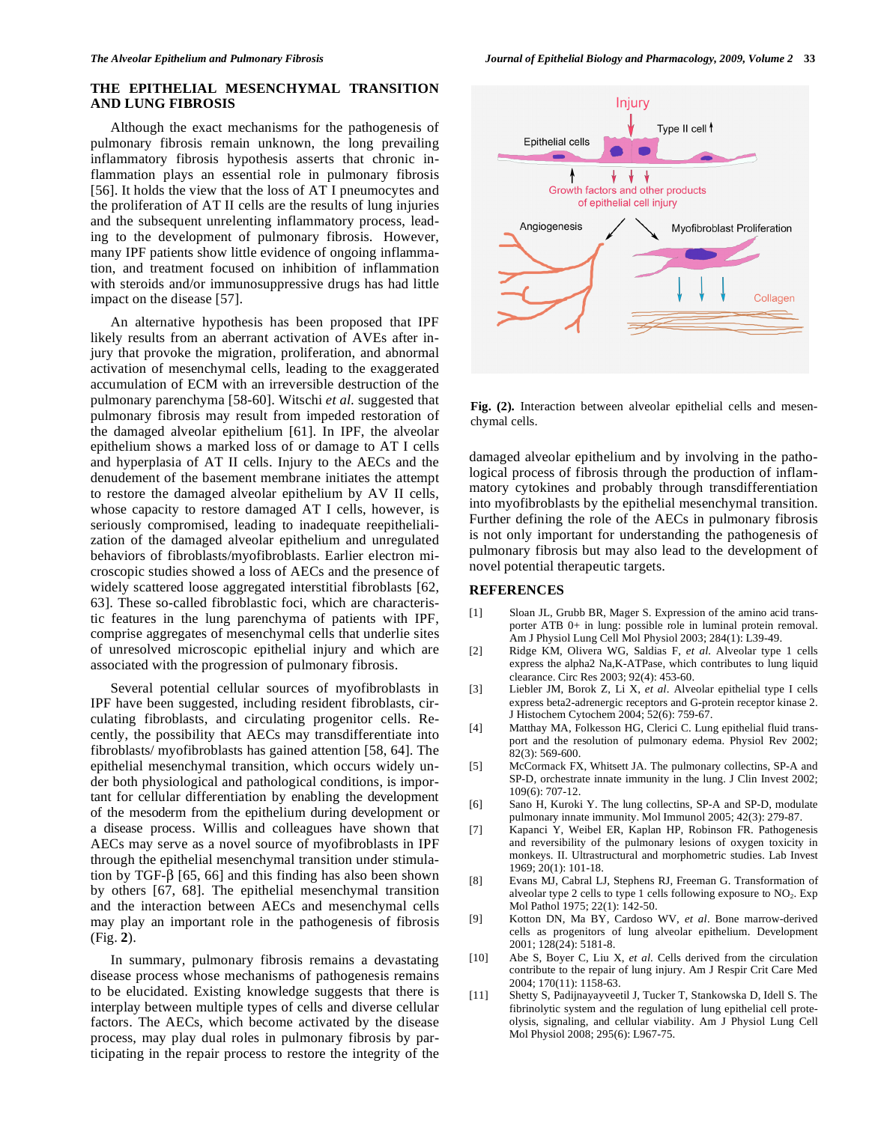#### **THE EPITHELIAL MESENCHYMAL TRANSITION AND LUNG FIBROSIS**

 Although the exact mechanisms for the pathogenesis of pulmonary fibrosis remain unknown, the long prevailing inflammatory fibrosis hypothesis asserts that chronic inflammation plays an essential role in pulmonary fibrosis [56]. It holds the view that the loss of AT I pneumocytes and the proliferation of AT II cells are the results of lung injuries and the subsequent unrelenting inflammatory process, leading to the development of pulmonary fibrosis. However, many IPF patients show little evidence of ongoing inflammation, and treatment focused on inhibition of inflammation with steroids and/or immunosuppressive drugs has had little impact on the disease [57].

 An alternative hypothesis has been proposed that IPF likely results from an aberrant activation of AVEs after injury that provoke the migration, proliferation, and abnormal activation of mesenchymal cells, leading to the exaggerated accumulation of ECM with an irreversible destruction of the pulmonary parenchyma [58-60]. Witschi *et al.* suggested that pulmonary fibrosis may result from impeded restoration of the damaged alveolar epithelium [61]. In IPF, the alveolar epithelium shows a marked loss of or damage to AT I cells and hyperplasia of AT II cells. Injury to the AECs and the denudement of the basement membrane initiates the attempt to restore the damaged alveolar epithelium by AV II cells, whose capacity to restore damaged AT I cells, however, is seriously compromised, leading to inadequate reepithelialization of the damaged alveolar epithelium and unregulated behaviors of fibroblasts/myofibroblasts. Earlier electron microscopic studies showed a loss of AECs and the presence of widely scattered loose aggregated interstitial fibroblasts [62, 63]. These so-called fibroblastic foci, which are characteristic features in the lung parenchyma of patients with IPF, comprise aggregates of mesenchymal cells that underlie sites of unresolved microscopic epithelial injury and which are associated with the progression of pulmonary fibrosis.

 Several potential cellular sources of myofibroblasts in IPF have been suggested, including resident fibroblasts, circulating fibroblasts, and circulating progenitor cells. Recently, the possibility that AECs may transdifferentiate into fibroblasts/ myofibroblasts has gained attention [58, 64]. The epithelial mesenchymal transition, which occurs widely under both physiological and pathological conditions, is important for cellular differentiation by enabling the development of the mesoderm from the epithelium during development or a disease process. Willis and colleagues have shown that AECs may serve as a novel source of myofibroblasts in IPF through the epithelial mesenchymal transition under stimulation by TGF- $\beta$  [65, 66] and this finding has also been shown by others [67, 68]. The epithelial mesenchymal transition and the interaction between AECs and mesenchymal cells may play an important role in the pathogenesis of fibrosis (Fig. **2**).

 In summary, pulmonary fibrosis remains a devastating disease process whose mechanisms of pathogenesis remains to be elucidated. Existing knowledge suggests that there is interplay between multiple types of cells and diverse cellular factors. The AECs, which become activated by the disease process, may play dual roles in pulmonary fibrosis by participating in the repair process to restore the integrity of the



**Fig. (2).** Interaction between alveolar epithelial cells and mesenchymal cells.

damaged alveolar epithelium and by involving in the pathological process of fibrosis through the production of inflammatory cytokines and probably through transdifferentiation into myofibroblasts by the epithelial mesenchymal transition. Further defining the role of the AECs in pulmonary fibrosis is not only important for understanding the pathogenesis of pulmonary fibrosis but may also lead to the development of novel potential therapeutic targets.

#### **REFERENCES**

- [1] Sloan JL, Grubb BR, Mager S. Expression of the amino acid transporter ATB 0+ in lung: possible role in luminal protein removal. Am J Physiol Lung Cell Mol Physiol 2003; 284(1): L39-49.
- [2] Ridge KM, Olivera WG, Saldias F, *et al*. Alveolar type 1 cells express the alpha2 Na,K-ATPase, which contributes to lung liquid clearance. Circ Res 2003; 92(4): 453-60.
- [3] Liebler JM, Borok Z, Li X, *et al*. Alveolar epithelial type I cells express beta2-adrenergic receptors and G-protein receptor kinase 2. J Histochem Cytochem 2004; 52(6): 759-67.
- [4] Matthay MA, Folkesson HG, Clerici C. Lung epithelial fluid transport and the resolution of pulmonary edema. Physiol Rev 2002;  $82(3)$ : 569-600.
- [5] McCormack FX, Whitsett JA. The pulmonary collectins, SP-A and SP-D, orchestrate innate immunity in the lung. J Clin Invest 2002; 109(6): 707-12.
- [6] Sano H, Kuroki Y. The lung collectins, SP-A and SP-D, modulate pulmonary innate immunity. Mol Immunol 2005; 42(3): 279-87.
- [7] Kapanci Y, Weibel ER, Kaplan HP, Robinson FR. Pathogenesis and reversibility of the pulmonary lesions of oxygen toxicity in monkeys. II. Ultrastructural and morphometric studies. Lab Invest 1969; 20(1): 101-18.
- [8] Evans MJ, Cabral LJ, Stephens RJ, Freeman G. Transformation of alveolar type 2 cells to type 1 cells following exposure to  $NO<sub>2</sub>$ . Exp Mol Pathol 1975; 22(1): 142-50.
- [9] Kotton DN, Ma BY, Cardoso WV, *et al*. Bone marrow-derived cells as progenitors of lung alveolar epithelium. Development 2001; 128(24): 5181-8.
- [10] Abe S, Boyer C, Liu X, *et al*. Cells derived from the circulation contribute to the repair of lung injury. Am J Respir Crit Care Med 2004; 170(11): 1158-63.
- [11] Shetty S, Padijnayayveetil J, Tucker T, Stankowska D, Idell S. The fibrinolytic system and the regulation of lung epithelial cell proteolysis, signaling, and cellular viability. Am J Physiol Lung Cell Mol Physiol 2008; 295(6): L967-75.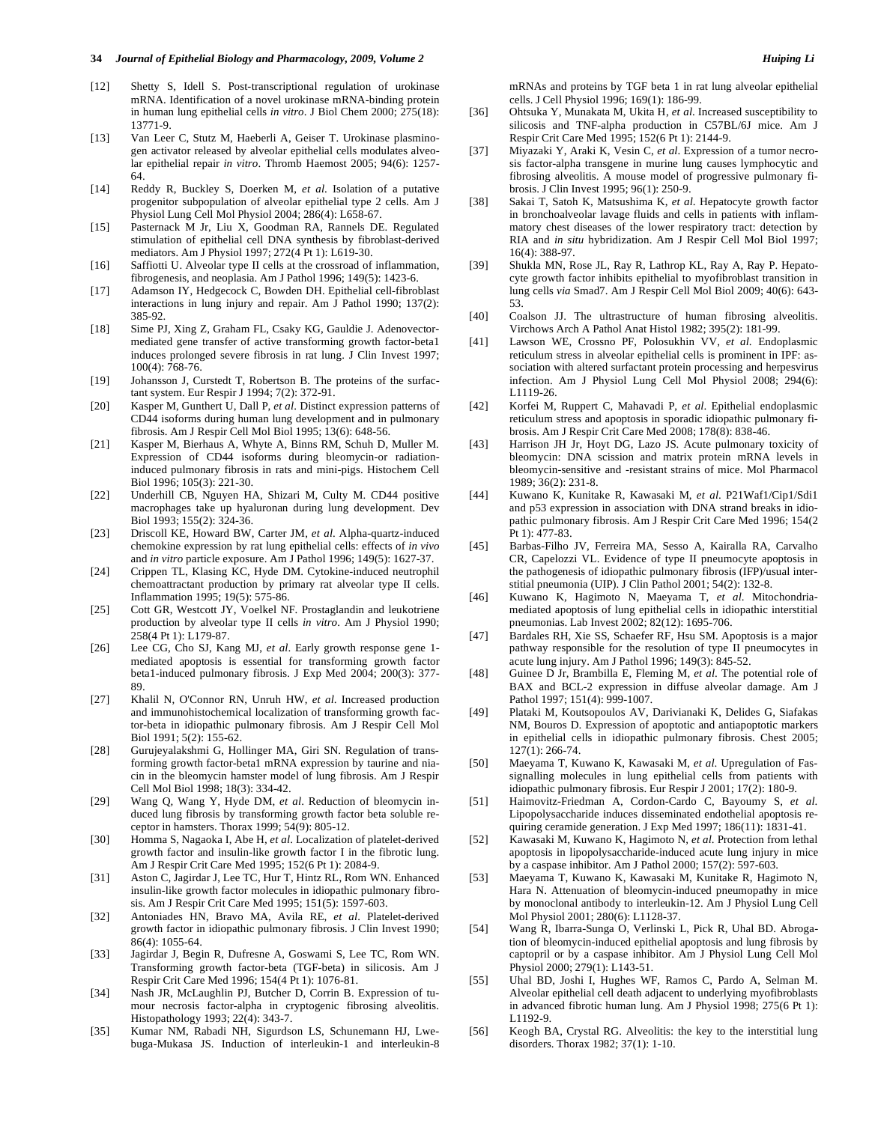#### **34** *Journal of Epithelial Biology and Pharmacology, 2009, Volume 2 Huiping Li*

- [12] Shetty S, Idell S. Post-transcriptional regulation of urokinase mRNA. Identification of a novel urokinase mRNA-binding protein in human lung epithelial cells *in vitro*. J Biol Chem 2000; 275(18): 13771-9.
- [13] Van Leer C, Stutz M, Haeberli A, Geiser T. Urokinase plasminogen activator released by alveolar epithelial cells modulates alveolar epithelial repair *in vitro*. Thromb Haemost 2005; 94(6): 1257- 64.
- [14] Reddy R, Buckley S, Doerken M, *et al*. Isolation of a putative progenitor subpopulation of alveolar epithelial type 2 cells. Am J Physiol Lung Cell Mol Physiol 2004; 286(4): L658-67.
- [15] Pasternack M Jr, Liu X, Goodman RA, Rannels DE. Regulated stimulation of epithelial cell DNA synthesis by fibroblast-derived mediators. Am J Physiol 1997; 272(4 Pt 1): L619-30.
- [16] Saffiotti U. Alveolar type II cells at the crossroad of inflammation, fibrogenesis, and neoplasia. Am J Pathol 1996; 149(5): 1423-6.
- [17] Adamson IY, Hedgecock C, Bowden DH. Epithelial cell-fibroblast interactions in lung injury and repair. Am J Pathol 1990; 137(2): 385-92.
- [18] Sime PJ, Xing Z, Graham FL, Csaky KG, Gauldie J. Adenovectormediated gene transfer of active transforming growth factor-beta1 induces prolonged severe fibrosis in rat lung. J Clin Invest 1997; 100(4): 768-76.
- [19] Johansson J, Curstedt T, Robertson B. The proteins of the surfactant system. Eur Respir J 1994; 7(2): 372-91.
- [20] Kasper M, Gunthert U, Dall P, *et al*. Distinct expression patterns of CD44 isoforms during human lung development and in pulmonary fibrosis. Am J Respir Cell Mol Biol 1995; 13(6): 648-56.
- [21] Kasper M, Bierhaus A, Whyte A, Binns RM, Schuh D, Muller M. Expression of CD44 isoforms during bleomycin-or radiationinduced pulmonary fibrosis in rats and mini-pigs. Histochem Cell Biol 1996; 105(3): 221-30.
- [22] Underhill CB, Nguyen HA, Shizari M, Culty M. CD44 positive macrophages take up hyaluronan during lung development. Dev Biol 1993; 155(2): 324-36.
- [23] Driscoll KE, Howard BW, Carter JM, *et al*. Alpha-quartz-induced chemokine expression by rat lung epithelial cells: effects of *in vivo* and *in vitro* particle exposure. Am J Pathol 1996; 149(5): 1627-37.
- [24] Crippen TL, Klasing KC, Hyde DM. Cytokine-induced neutrophil chemoattractant production by primary rat alveolar type II cells. Inflammation 1995; 19(5): 575-86.
- [25] Cott GR, Westcott JY, Voelkel NF. Prostaglandin and leukotriene production by alveolar type II cells *in vitro*. Am J Physiol 1990; 258(4 Pt 1): L179-87.
- [26] Lee CG, Cho SJ, Kang MJ, *et al*. Early growth response gene 1 mediated apoptosis is essential for transforming growth factor beta1-induced pulmonary fibrosis. J Exp Med 2004; 200(3): 377- 89.
- [27] Khalil N, O'Connor RN, Unruh HW, *et al*. Increased production and immunohistochemical localization of transforming growth factor-beta in idiopathic pulmonary fibrosis. Am J Respir Cell Mol Biol 1991; 5(2): 155-62.
- [28] Gurujeyalakshmi G, Hollinger MA, Giri SN. Regulation of transforming growth factor-beta1 mRNA expression by taurine and niacin in the bleomycin hamster model of lung fibrosis. Am J Respir Cell Mol Biol 1998; 18(3): 334-42.
- [29] Wang Q, Wang Y, Hyde DM, *et al*. Reduction of bleomycin induced lung fibrosis by transforming growth factor beta soluble receptor in hamsters. Thorax 1999; 54(9): 805-12.
- [30] Homma S, Nagaoka I, Abe H, *et al*. Localization of platelet-derived growth factor and insulin-like growth factor I in the fibrotic lung. Am J Respir Crit Care Med 1995; 152(6 Pt 1): 2084-9.
- [31] Aston C, Jagirdar J, Lee TC, Hur T, Hintz RL, Rom WN. Enhanced insulin-like growth factor molecules in idiopathic pulmonary fibrosis. Am J Respir Crit Care Med 1995; 151(5): 1597-603.
- [32] Antoniades HN, Bravo MA, Avila RE, *et al*. Platelet-derived growth factor in idiopathic pulmonary fibrosis. J Clin Invest 1990; 86(4): 1055-64.
- [33] Jagirdar J, Begin R, Dufresne A, Goswami S, Lee TC, Rom WN. Transforming growth factor-beta (TGF-beta) in silicosis. Am J Respir Crit Care Med 1996; 154(4 Pt 1): 1076-81.
- [34] Nash JR, McLaughlin PJ, Butcher D, Corrin B. Expression of tumour necrosis factor-alpha in cryptogenic fibrosing alveolitis. Histopathology 1993; 22(4): 343-7.
- [35] Kumar NM, Rabadi NH, Sigurdson LS, Schunemann HJ, Lwebuga-Mukasa JS. Induction of interleukin-1 and interleukin-8

mRNAs and proteins by TGF beta 1 in rat lung alveolar epithelial cells. J Cell Physiol 1996; 169(1): 186-99.

- [36] Ohtsuka Y, Munakata M, Ukita H, *et al*. Increased susceptibility to silicosis and TNF-alpha production in C57BL/6J mice. Am J Respir Crit Care Med 1995; 152(6 Pt 1): 2144-9.
- [37] Miyazaki Y, Araki K, Vesin C, *et al*. Expression of a tumor necrosis factor-alpha transgene in murine lung causes lymphocytic and fibrosing alveolitis. A mouse model of progressive pulmonary fibrosis. J Clin Invest 1995; 96(1): 250-9.
- [38] Sakai T, Satoh K, Matsushima K, *et al*. Hepatocyte growth factor in bronchoalveolar lavage fluids and cells in patients with inflammatory chest diseases of the lower respiratory tract: detection by RIA and *in situ* hybridization. Am J Respir Cell Mol Biol 1997; 16(4): 388-97.
- [39] Shukla MN, Rose JL, Ray R, Lathrop KL, Ray A, Ray P. Hepatocyte growth factor inhibits epithelial to myofibroblast transition in lung cells *via* Smad7. Am J Respir Cell Mol Biol 2009; 40(6): 643- 53.
- [40] Coalson JJ. The ultrastructure of human fibrosing alveolitis. Virchows Arch A Pathol Anat Histol 1982; 395(2): 181-99.
- [41] Lawson WE, Crossno PF, Polosukhin VV, *et al*. Endoplasmic reticulum stress in alveolar epithelial cells is prominent in IPF: association with altered surfactant protein processing and herpesvirus infection. Am J Physiol Lung Cell Mol Physiol 2008; 294(6): L1119-26.
- [42] Korfei M, Ruppert C, Mahavadi P, *et al*. Epithelial endoplasmic reticulum stress and apoptosis in sporadic idiopathic pulmonary fibrosis. Am J Respir Crit Care Med 2008; 178(8): 838-46.
- [43] Harrison JH Jr, Hoyt DG, Lazo JS. Acute pulmonary toxicity of bleomycin: DNA scission and matrix protein mRNA levels in bleomycin-sensitive and -resistant strains of mice. Mol Pharmacol 1989; 36(2): 231-8.
- [44] Kuwano K, Kunitake R, Kawasaki M, *et al*. P21Waf1/Cip1/Sdi1 and p53 expression in association with DNA strand breaks in idiopathic pulmonary fibrosis. Am J Respir Crit Care Med 1996; 154(2 Pt 1): 477-83.
- [45] Barbas-Filho JV, Ferreira MA, Sesso A, Kairalla RA, Carvalho CR, Capelozzi VL. Evidence of type II pneumocyte apoptosis in the pathogenesis of idiopathic pulmonary fibrosis (IFP)/usual interstitial pneumonia (UIP). J Clin Pathol 2001; 54(2): 132-8.
- [46] Kuwano K, Hagimoto N, Maeyama T, *et al*. Mitochondriamediated apoptosis of lung epithelial cells in idiopathic interstitial pneumonias. Lab Invest 2002; 82(12): 1695-706.
- [47] Bardales RH, Xie SS, Schaefer RF, Hsu SM. Apoptosis is a major pathway responsible for the resolution of type II pneumocytes in acute lung injury. Am J Pathol 1996; 149(3): 845-52.
- [48] Guinee D Jr, Brambilla E, Fleming M, *et al*. The potential role of BAX and BCL-2 expression in diffuse alveolar damage. Am J Pathol 1997; 151(4): 999-1007.
- [49] Plataki M, Koutsopoulos AV, Darivianaki K, Delides G, Siafakas NM, Bouros D. Expression of apoptotic and antiapoptotic markers in epithelial cells in idiopathic pulmonary fibrosis. Chest 2005; 127(1): 266-74.
- [50] Maeyama T, Kuwano K, Kawasaki M, *et al*. Upregulation of Fassignalling molecules in lung epithelial cells from patients with idiopathic pulmonary fibrosis. Eur Respir J 2001; 17(2): 180-9.
- [51] Haimovitz-Friedman A, Cordon-Cardo C, Bayoumy S, *et al*. Lipopolysaccharide induces disseminated endothelial apoptosis requiring ceramide generation. J Exp Med 1997; 186(11): 1831-41.
- [52] Kawasaki M, Kuwano K, Hagimoto N, *et al*. Protection from lethal apoptosis in lipopolysaccharide-induced acute lung injury in mice by a caspase inhibitor. Am J Pathol 2000; 157(2): 597-603.
- [53] Maeyama T, Kuwano K, Kawasaki M, Kunitake R, Hagimoto N, Hara N. Attenuation of bleomycin-induced pneumopathy in mice by monoclonal antibody to interleukin-12. Am J Physiol Lung Cell Mol Physiol 2001; 280(6): L1128-37.
- [54] Wang R, Ibarra-Sunga O, Verlinski L, Pick R, Uhal BD. Abrogation of bleomycin-induced epithelial apoptosis and lung fibrosis by captopril or by a caspase inhibitor. Am J Physiol Lung Cell Mol Physiol 2000; 279(1): L143-51.
- [55] Uhal BD, Joshi I, Hughes WF, Ramos C, Pardo A, Selman M. Alveolar epithelial cell death adjacent to underlying myofibroblasts in advanced fibrotic human lung. Am J Physiol 1998; 275(6 Pt 1): L1192-9.
- [56] Keogh BA, Crystal RG. Alveolitis: the key to the interstitial lung disorders. Thorax 1982; 37(1): 1-10.